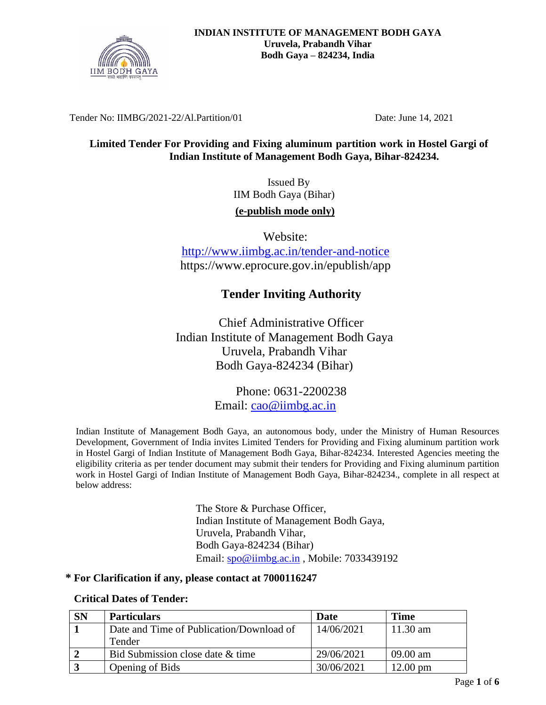

Tender No: IIMBG/2021-22/Al.Partition/01 Date: June 14, 2021

## **Limited Tender For Providing and Fixing aluminum partition work in Hostel Gargi of Indian Institute of Management Bodh Gaya, Bihar-824234.**

 Issued By IIM Bodh Gaya (Bihar) **(e-publish mode only)**

Website: <http://www.iimbg.ac.in/tender-and-notice> https://www.eprocure.gov.in/epublish/app

# **Tender Inviting Authority**

Chief Administrative Officer Indian Institute of Management Bodh Gaya Uruvela, Prabandh Vihar Bodh Gaya-824234 (Bihar)

> Phone: 0631-2200238 Email: [cao@iimbg.ac.in](mailto:cao@iimbg.ac.in)

Indian Institute of Management Bodh Gaya, an autonomous body, under the Ministry of Human Resources Development, Government of India invites Limited Tenders for Providing and Fixing aluminum partition work in Hostel Gargi of Indian Institute of Management Bodh Gaya, Bihar-824234. Interested Agencies meeting the eligibility criteria as per tender document may submit their tenders for Providing and Fixing aluminum partition work in Hostel Gargi of Indian Institute of Management Bodh Gaya, Bihar-824234., complete in all respect at below address:

> The Store & Purchase Officer, Indian Institute of Management Bodh Gaya, Uruvela, Prabandh Vihar, Bodh Gaya-824234 (Bihar) Email: [spo@iimbg.ac.in](mailto:spo@iimbg.ac.in) , Mobile: 7033439192

#### **\* For Clarification if any, please contact at 7000116247**

## **Critical Dates of Tender:**

| <b>SN</b> | <b>Particulars</b>                       | Date       | Time               |
|-----------|------------------------------------------|------------|--------------------|
|           | Date and Time of Publication/Download of | 14/06/2021 | 11.30 am           |
|           | Tender                                   |            |                    |
|           | Bid Submission close date & time         | 29/06/2021 | 09.00 am           |
|           | Opening of Bids                          | 30/06/2021 | $12.00 \text{ pm}$ |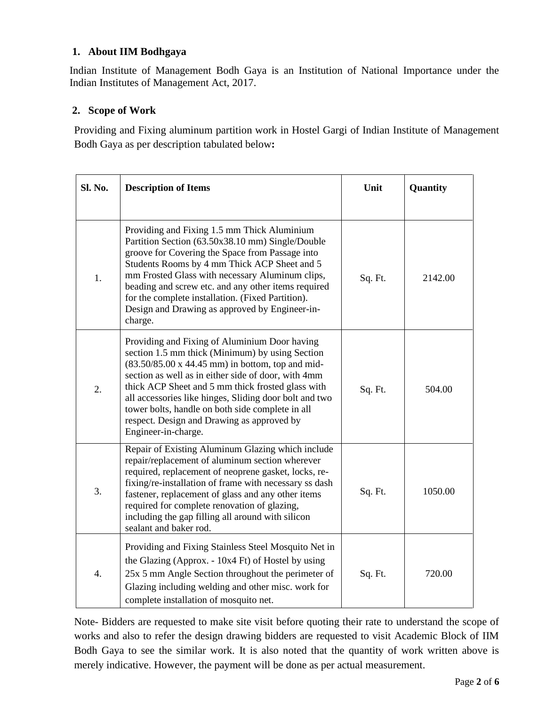## **1. About IIM Bodhgaya**

Indian Institute of Management Bodh Gaya is an Institution of National Importance under the Indian Institutes of Management Act, 2017.

# **2. Scope of Work**

Providing and Fixing aluminum partition work in Hostel Gargi of Indian Institute of Management Bodh Gaya as per description tabulated below**:**

| Sl. No.          | <b>Description of Items</b>                                                                                                                                                                                                                                                                                                                                                                                                                                        | Unit    | Quantity |
|------------------|--------------------------------------------------------------------------------------------------------------------------------------------------------------------------------------------------------------------------------------------------------------------------------------------------------------------------------------------------------------------------------------------------------------------------------------------------------------------|---------|----------|
|                  |                                                                                                                                                                                                                                                                                                                                                                                                                                                                    |         |          |
| 1.               | Providing and Fixing 1.5 mm Thick Aluminium<br>Partition Section (63.50x38.10 mm) Single/Double<br>groove for Covering the Space from Passage into<br>Students Rooms by 4 mm Thick ACP Sheet and 5<br>mm Frosted Glass with necessary Aluminum clips,<br>beading and screw etc. and any other items required<br>for the complete installation. (Fixed Partition).<br>Design and Drawing as approved by Engineer-in-<br>charge.                                     | Sq. Ft. | 2142.00  |
| 2.               | Providing and Fixing of Aluminium Door having<br>section 1.5 mm thick (Minimum) by using Section<br>$(83.50/85.00 \times 44.45 \text{ mm})$ in bottom, top and mid-<br>section as well as in either side of door, with 4mm<br>thick ACP Sheet and 5 mm thick frosted glass with<br>all accessories like hinges, Sliding door bolt and two<br>tower bolts, handle on both side complete in all<br>respect. Design and Drawing as approved by<br>Engineer-in-charge. | Sq. Ft. | 504.00   |
| 3.               | Repair of Existing Aluminum Glazing which include<br>repair/replacement of aluminum section wherever<br>required, replacement of neoprene gasket, locks, re-<br>fixing/re-installation of frame with necessary ss dash<br>fastener, replacement of glass and any other items<br>required for complete renovation of glazing,<br>including the gap filling all around with silicon<br>sealant and baker rod.                                                        | Sq. Ft. | 1050.00  |
| $\overline{4}$ . | Providing and Fixing Stainless Steel Mosquito Net in<br>the Glazing (Approx. - 10x4 Ft) of Hostel by using<br>25x 5 mm Angle Section throughout the perimeter of<br>Glazing including welding and other misc. work for<br>complete installation of mosquito net.                                                                                                                                                                                                   | Sq. Ft. | 720.00   |

Note- Bidders are requested to make site visit before quoting their rate to understand the scope of works and also to refer the design drawing bidders are requested to visit Academic Block of IIM Bodh Gaya to see the similar work. It is also noted that the quantity of work written above is merely indicative. However, the payment will be done as per actual measurement.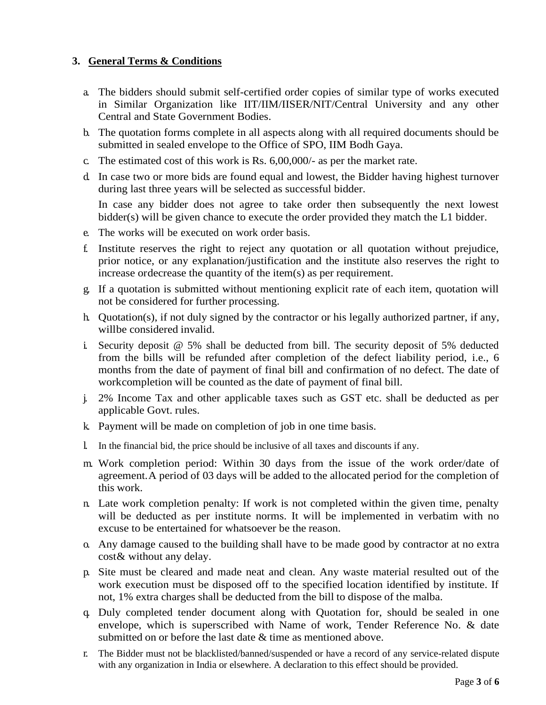## **3. General Terms & Conditions**

- a. The bidders should submit self-certified order copies of similar type of works executed in Similar Organization like IIT/IIM/IISER/NIT/Central University and any other Central and State Government Bodies.
- b. The quotation forms complete in all aspects along with all required documents should be submitted in sealed envelope to the Office of SPO, IIM Bodh Gaya.
- c. The estimated cost of this work is Rs. 6,00,000/- as per the market rate.
- d. In case two or more bids are found equal and lowest, the Bidder having highest turnover during last three years will be selected as successful bidder.

In case any bidder does not agree to take order then subsequently the next lowest bidder(s) will be given chance to execute the order provided they match the L1 bidder.

- e. The works will be executed on work order basis.
- f. Institute reserves the right to reject any quotation or all quotation without prejudice, prior notice, or any explanation/justification and the institute also reserves the right to increase ordecrease the quantity of the item(s) as per requirement.
- g. If a quotation is submitted without mentioning explicit rate of each item, quotation will not be considered for further processing.
- h. Quotation(s), if not duly signed by the contractor or his legally authorized partner, if any, willbe considered invalid.
- i. Security deposit @ 5% shall be deducted from bill. The security deposit of 5% deducted from the bills will be refunded after completion of the defect liability period, i.e., 6 months from the date of payment of final bill and confirmation of no defect. The date of workcompletion will be counted as the date of payment of final bill.
- j. 2% Income Tax and other applicable taxes such as GST etc. shall be deducted as per applicable Govt. rules.
- k. Payment will be made on completion of job in one time basis.
- l. In the financial bid, the price should be inclusive of all taxes and discounts if any.
- m. Work completion period: Within 30 days from the issue of the work order/date of agreement.A period of 03 days will be added to the allocated period for the completion of this work.
- n. Late work completion penalty: If work is not completed within the given time, penalty will be deducted as per institute norms. It will be implemented in verbatim with no excuse to be entertained for whatsoever be the reason.
- o. Any damage caused to the building shall have to be made good by contractor at no extra cost& without any delay.
- p. Site must be cleared and made neat and clean. Any waste material resulted out of the work execution must be disposed off to the specified location identified by institute. If not, 1% extra charges shall be deducted from the bill to dispose of the malba.
- q. Duly completed tender document along with Quotation for, should be sealed in one envelope, which is superscribed with Name of work, Tender Reference No. & date submitted on or before the last date  $\&$  time as mentioned above.
- r. The Bidder must not be blacklisted/banned/suspended or have a record of any service-related dispute with any organization in India or elsewhere. A declaration to this effect should be provided.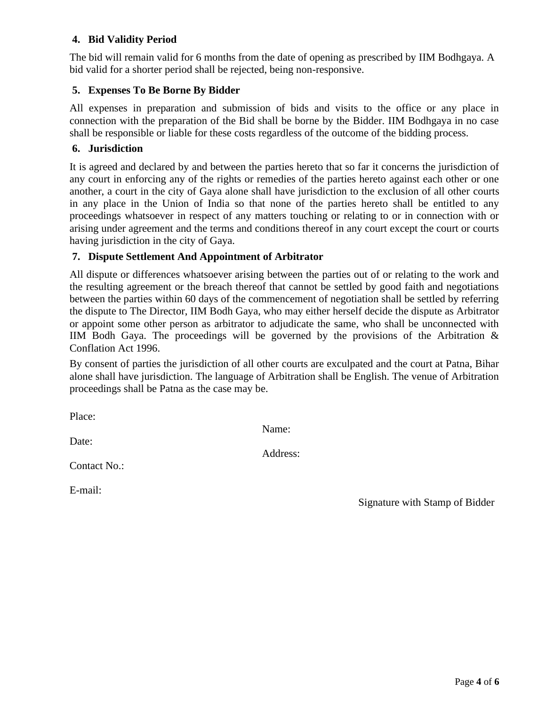## **4. Bid Validity Period**

The bid will remain valid for 6 months from the date of opening as prescribed by IIM Bodhgaya. A bid valid for a shorter period shall be rejected, being non-responsive.

#### **5. Expenses To Be Borne By Bidder**

All expenses in preparation and submission of bids and visits to the office or any place in connection with the preparation of the Bid shall be borne by the Bidder. IIM Bodhgaya in no case shall be responsible or liable for these costs regardless of the outcome of the bidding process.

#### **6. Jurisdiction**

It is agreed and declared by and between the parties hereto that so far it concerns the jurisdiction of any court in enforcing any of the rights or remedies of the parties hereto against each other or one another, a court in the city of Gaya alone shall have jurisdiction to the exclusion of all other courts in any place in the Union of India so that none of the parties hereto shall be entitled to any proceedings whatsoever in respect of any matters touching or relating to or in connection with or arising under agreement and the terms and conditions thereof in any court except the court or courts having jurisdiction in the city of Gaya.

#### **7. Dispute Settlement And Appointment of Arbitrator**

All dispute or differences whatsoever arising between the parties out of or relating to the work and the resulting agreement or the breach thereof that cannot be settled by good faith and negotiations between the parties within 60 days of the commencement of negotiation shall be settled by referring the dispute to The Director, IIM Bodh Gaya, who may either herself decide the dispute as Arbitrator or appoint some other person as arbitrator to adjudicate the same, who shall be unconnected with IIM Bodh Gaya. The proceedings will be governed by the provisions of the Arbitration  $\&$ Conflation Act 1996.

By consent of parties the jurisdiction of all other courts are exculpated and the court at Patna, Bihar alone shall have jurisdiction. The language of Arbitration shall be English. The venue of Arbitration proceedings shall be Patna as the case may be.

Place:

Date:

Name:

Address:

Contact No.:

E-mail:

Signature with Stamp of Bidder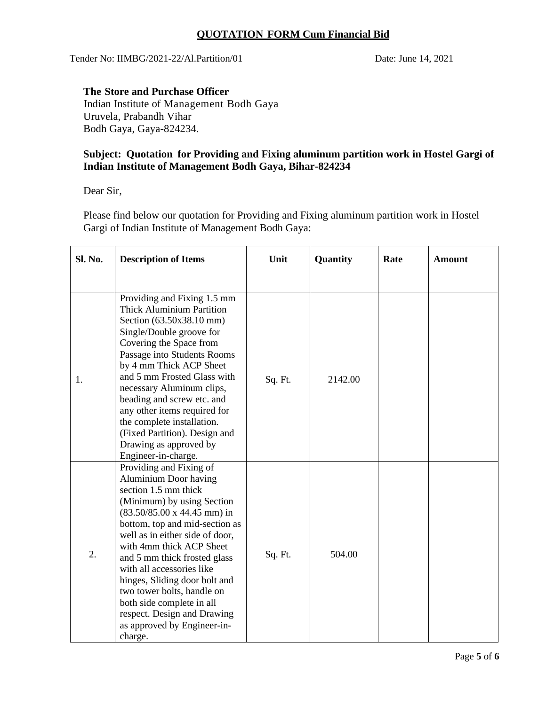## **QUOTATION FORM Cum Financial Bid**

Tender No: IIMBG/2021-22/Al.Partition/01 Date: June 14, 2021

### **The Store and Purchase Officer**

Indian Institute of Management Bodh Gaya Uruvela, Prabandh Vihar Bodh Gaya, Gaya-824234.

#### **Subject: Quotation for Providing and Fixing aluminum partition work in Hostel Gargi of Indian Institute of Management Bodh Gaya, Bihar-824234**

Dear Sir,

Please find below our quotation for Providing and Fixing aluminum partition work in Hostel Gargi of Indian Institute of Management Bodh Gaya:

| Sl. No. | <b>Description of Items</b>                                                                                                                                                                                                                                                                                                                                                                                                                                                                    | Unit    | Quantity | Rate | <b>Amount</b> |
|---------|------------------------------------------------------------------------------------------------------------------------------------------------------------------------------------------------------------------------------------------------------------------------------------------------------------------------------------------------------------------------------------------------------------------------------------------------------------------------------------------------|---------|----------|------|---------------|
| 1.      | Providing and Fixing 1.5 mm<br><b>Thick Aluminium Partition</b><br>Section (63.50x38.10 mm)<br>Single/Double groove for<br>Covering the Space from<br>Passage into Students Rooms<br>by 4 mm Thick ACP Sheet<br>and 5 mm Frosted Glass with<br>necessary Aluminum clips,<br>beading and screw etc. and<br>any other items required for<br>the complete installation.<br>(Fixed Partition). Design and<br>Drawing as approved by<br>Engineer-in-charge.                                         | Sq. Ft. | 2142.00  |      |               |
| 2.      | Providing and Fixing of<br><b>Aluminium Door having</b><br>section 1.5 mm thick<br>(Minimum) by using Section<br>$(83.50/85.00 \times 44.45 \text{ mm})$ in<br>bottom, top and mid-section as<br>well as in either side of door,<br>with 4mm thick ACP Sheet<br>and 5 mm thick frosted glass<br>with all accessories like<br>hinges, Sliding door bolt and<br>two tower bolts, handle on<br>both side complete in all<br>respect. Design and Drawing<br>as approved by Engineer-in-<br>charge. | Sq. Ft. | 504.00   |      |               |